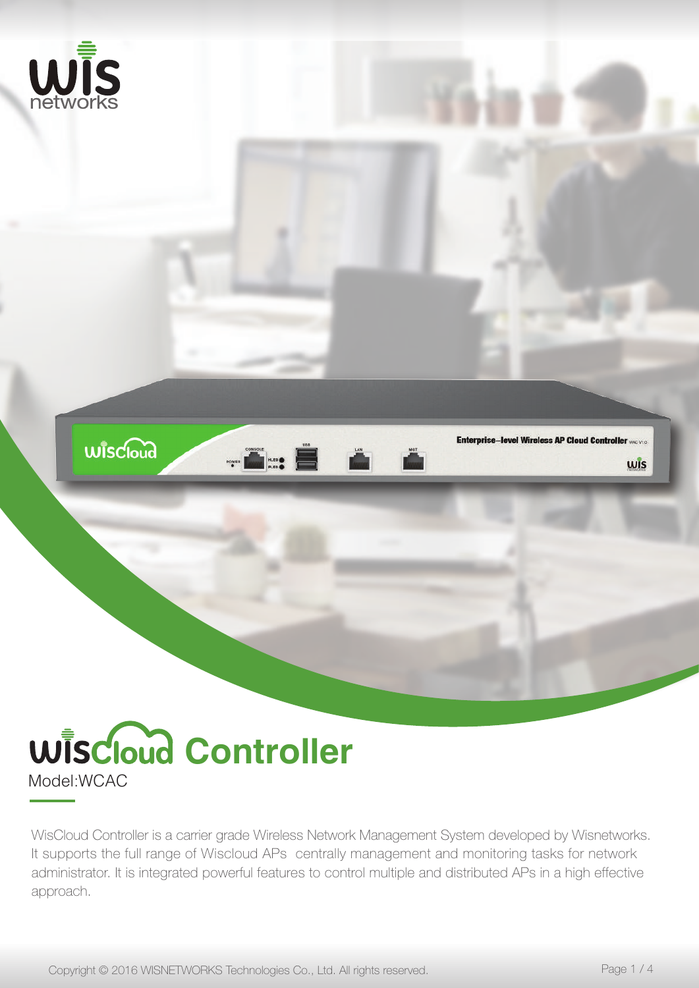

## Model:WCAC **Wiscloud Controller**

WisCloud Controller is a carrier grade Wireless Network Management System developed by Wisnetworks. It supports the full range of Wiscloud APs centrally management and monitoring tasks for network administrator. It is integrated powerful features to control multiple and distributed APs in a high effective approach.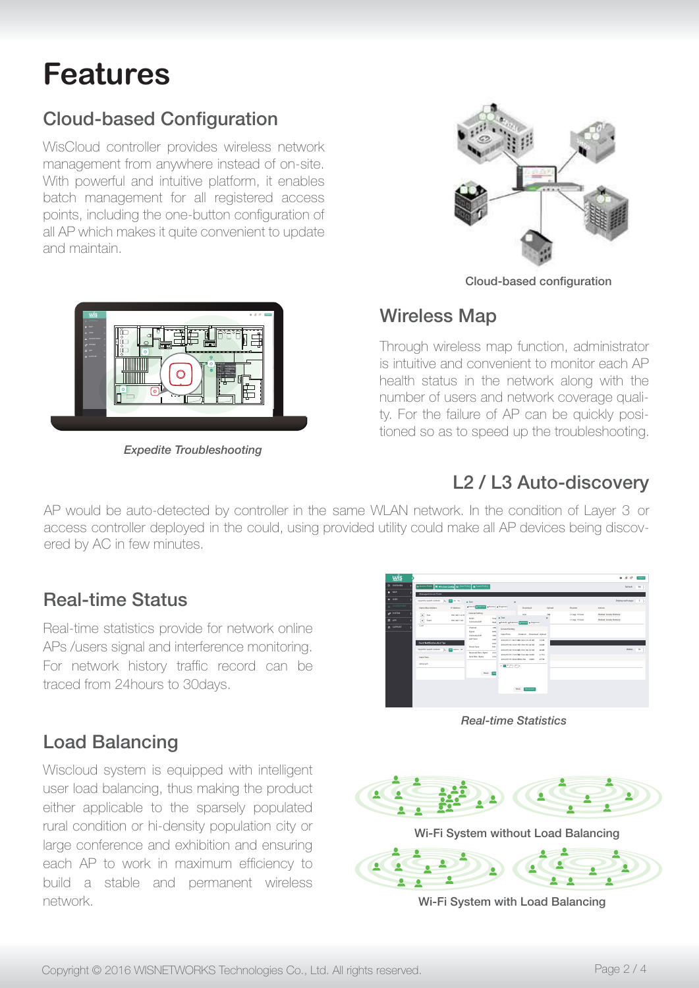# **Features**

## **Cloud-based Configuration**

WisCloud controller provides wireless network management from anywhere instead of on-site. With powerful and intuitive platform, it enables batch management for all registered access points, including the one-button configuration of all AP which makes it quite convenient to update and maintain.



Cloud-based configuration

#### Wireless Map

Through wireless map function, administrator is intuitive and convenient to monitor each AP health status in the network along with the number of users and network coverage quality. For the failure of AP can be quickly positioned so as to speed up the troubleshooting. L2 / L3 Auto-discovery



*Expedite Troubleshooting*

### L2 / L3 Auto-discovery

The modes we date deployed in the could, using provided utility could make all AP devices being discovered by AC in few minutes. AP would be auto-detected by controller in the same WLAN network. In the condition of Layer 3 or

#### Real-time Status nearme olalus

Real-time statistics provide for network online APs /users signal and interference monitoring. For network history traffic record can be traced from 24 hours to 30 days. management from any method of on-site instruction of on-site. For heliviork history traing regord can be

### **Load Balancing**

Wiscloud system is equipped with intelligent user load balancing, thus making the product either applicable to the sparsely populated rural condition or hi-density population city or Taran conference and exhibition and ensuring<br>large conference and exhibition and ensuring range connencince and exhibition and endanning<br>each AP to work in maximum efficiency to build a stable and permanent wireless network. user load balancing, thus making the proto the sparsely pop United application to the operacity populated rural condition or hi-density population city or pund a stable and portrianent wilelesse experimental experimental efficiency to work in maximum effects to work in maximum effects of the state of the state of the state of the state of the state of the state of the state of the state of the state of the state o

| wis                                         |                                                                                                                                                   |                                                                                                                                                                                                                            |                                                                                                                                                                                                                                                                                                                                          |                                                   | $^{\circ}$ $^{\circ}$ $^{\circ}$<br><b>Linginal</b>         |
|---------------------------------------------|---------------------------------------------------------------------------------------------------------------------------------------------------|----------------------------------------------------------------------------------------------------------------------------------------------------------------------------------------------------------------------------|------------------------------------------------------------------------------------------------------------------------------------------------------------------------------------------------------------------------------------------------------------------------------------------------------------------------------------------|---------------------------------------------------|-------------------------------------------------------------|
| O OVERVEW                                   | 12 Accoustable   12 Wheters Config #16 User Fallcy   @ Guest Fallcy                                                                               |                                                                                                                                                                                                                            |                                                                                                                                                                                                                                                                                                                                          |                                                   | 20k<br>Refinsh                                              |
| 0.16<br>A USER<br>ACCESS POINT<br>of SISTEM | Managed Access Point<br>input the search content.<br>20 20 30<br>m<br>IP Address<br>Name Stac Address<br>◎<br>Test<br>192.168.11.219              | · Test<br><b>FOICER ORIGINAL BELLOY   RESIDENT</b><br>General Setting<br>San # Test<br>ecces                                                                                                                               | $\times$<br>Download<br><b>ALL</b><br><b>Sold</b><br>$\times$                                                                                                                                                                                                                                                                            | Uglorid<br>Channel<br>Actions<br>11-Incl. 153-043 | Display each page<br>$s - 1$<br><b>Reboot Locate Romove</b> |
| <b>88</b> APP<br>C SUPPORT                  | $\circledcirc$<br>Testa<br>192.168.11.24<br>$1-2/1$<br>Event Notification And Tips<br>input the teach content (C) 23 Adeos AP<br><b>Date/Time</b> | Connected AP<br>MAG <sup>1</sup><br>Channel<br>1490<br>Signal<br><b>SAYS</b><br>Connected AP<br>toor<br>Last Seen<br>3438<br>too<br><b>Power Save</b><br>Noti<br>Received Play, / Bytes<br>252<br>Seet Pkts / Bytes<br>254 | <b>FOICILE PSISSING ELECTIVE POSSICIAL</b><br>General Setting<br>Duration Download Unicod<br>Date/Time<br>2016/05/17 18:47:08h 32m 21s 23.0M<br>161M<br>2016/05/18 12:22:13h 19m 45c 44.5M<br>62655<br>2016/05/18 19:02:48h 37m 18 (SLM)<br>604M<br>2016/05/19 17:43:58h Shm 48; 100M<br>2216<br>2016/05/19 18:46:08/hn SBC 140M<br>677M | 11(ng), 153 (ac)                                  | <b>Reboot Locate Romové</b><br>Within<br>$10 - 1$           |
|                                             | 2016/4.25                                                                                                                                         | Rock RM                                                                                                                                                                                                                    | $(1 - 2) 2 + 1 + 2$<br><b>Янсоплист</b><br><b>Block</b>                                                                                                                                                                                                                                                                                  |                                                   |                                                             |

*Real-time Statistics*



Wi-Fi System with Load Balancing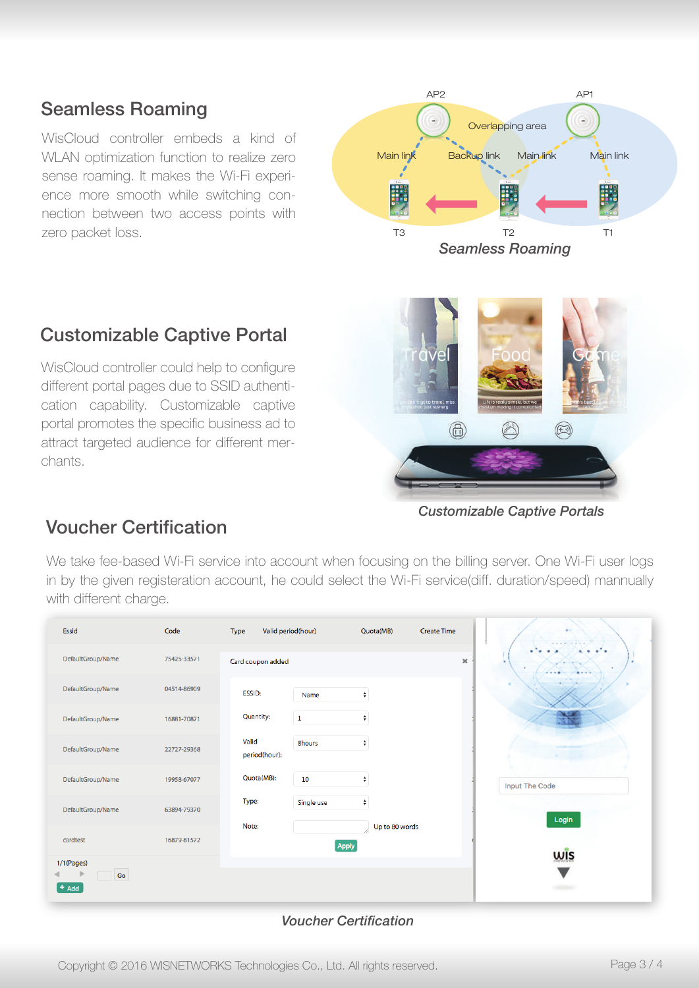#### Seamless Roaming

WisCloud controller embeds a kind of WLAN optimization function to realize zero sense roaming. It makes the Wi-Fi experience more smooth while switching connection between two access points with zero packet loss.



#### Customizable Captive Portal

WisCloud controller could help to configure different portal pages due to SSID authentication capability. Customizable captive portal promotes the specific business ad to attract targeted audience for different merchants.



*Customizable Captive Portals*

#### Voucher Certification

We take fee-based Wi-Fi service into account when focusing on the billing server. One Wi-Fi user logs in by the given registeration account, he could select the Wi-Fi service(diff. duration/speed) mannually with different charge.

| Essid                       | Code        | Valid period(hour)<br>Type |             | Quota(MB)            | <b>Create Time</b> |          |
|-----------------------------|-------------|----------------------------|-------------|----------------------|--------------------|----------|
| DefaultGroup/Name           | 75425-33571 | Card coupon added          |             |                      |                    | $\times$ |
| DefaultGroup/Name           | 04514-86909 | ESSID:                     | Name        | ÷                    |                    |          |
| DefaultGroup/Name           | 16881-70871 | Quantity:                  | $\mathbf 1$ | ÷                    |                    |          |
| DefaultGroup/Name           | 22727-29368 | Valid<br>period(hour):     | 8hours      | ٠                    |                    |          |
| DefaultGroup/Name           | 19958-67077 | Quota(MB):                 | 10          | ÷                    |                    |          |
| DefaultGroup/Name           | 63894-79370 | Type:                      | Single use  | ÷                    |                    |          |
| cardtest                    | 16879-81572 | Note:                      | Apply       | Up to 80 words<br>B. |                    |          |
| 1/1(Pages)<br>Go<br>$+$ Add |             |                            |             |                      |                    |          |

#### *Voucher Certification*